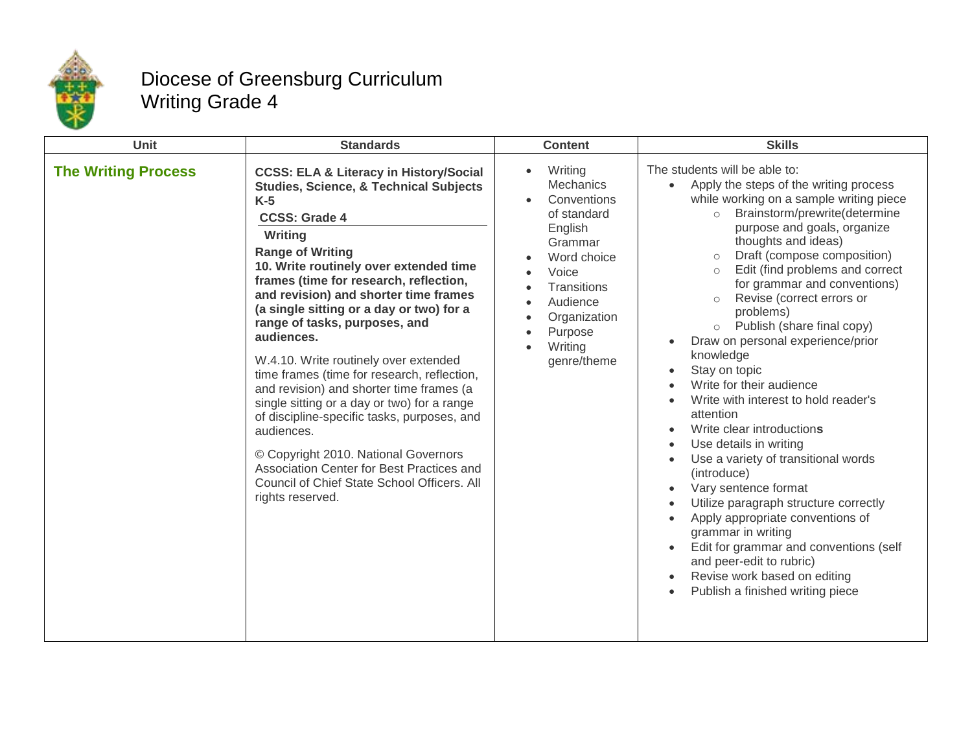

## Diocese of Greensburg Curriculum Writing Grade 4

| <b>Unit</b>                | <b>Standards</b>                                                                                                                                                                                                                                                                                                                                                                                                                                                                                                                                                                                                                                                                                                                                                                                              | <b>Content</b>                                                                                                                                                                                       | <b>Skills</b>                                                                                                                                                                                                                                                                                                                                                                                                                                                                                                                                                                                                                                                                                                                                                                                                                                                                                                                                                                                                                                         |
|----------------------------|---------------------------------------------------------------------------------------------------------------------------------------------------------------------------------------------------------------------------------------------------------------------------------------------------------------------------------------------------------------------------------------------------------------------------------------------------------------------------------------------------------------------------------------------------------------------------------------------------------------------------------------------------------------------------------------------------------------------------------------------------------------------------------------------------------------|------------------------------------------------------------------------------------------------------------------------------------------------------------------------------------------------------|-------------------------------------------------------------------------------------------------------------------------------------------------------------------------------------------------------------------------------------------------------------------------------------------------------------------------------------------------------------------------------------------------------------------------------------------------------------------------------------------------------------------------------------------------------------------------------------------------------------------------------------------------------------------------------------------------------------------------------------------------------------------------------------------------------------------------------------------------------------------------------------------------------------------------------------------------------------------------------------------------------------------------------------------------------|
| <b>The Writing Process</b> | <b>CCSS: ELA &amp; Literacy in History/Social</b><br><b>Studies, Science, &amp; Technical Subjects</b><br>$K-5$<br><b>CCSS: Grade 4</b><br>Writing<br><b>Range of Writing</b><br>10. Write routinely over extended time<br>frames (time for research, reflection,<br>and revision) and shorter time frames<br>(a single sitting or a day or two) for a<br>range of tasks, purposes, and<br>audiences.<br>W.4.10. Write routinely over extended<br>time frames (time for research, reflection,<br>and revision) and shorter time frames (a<br>single sitting or a day or two) for a range<br>of discipline-specific tasks, purposes, and<br>audiences.<br>© Copyright 2010. National Governors<br>Association Center for Best Practices and<br>Council of Chief State School Officers. All<br>rights reserved. | Writing<br>$\bullet$<br><b>Mechanics</b><br>Conventions<br>of standard<br>English<br>Grammar<br>Word choice<br>Voice<br>Transitions<br>Audience<br>Organization<br>Purpose<br>Writing<br>genre/theme | The students will be able to:<br>Apply the steps of the writing process<br>$\bullet$<br>while working on a sample writing piece<br>Brainstorm/prewrite(determine<br>$\circ$<br>purpose and goals, organize<br>thoughts and ideas)<br>Draft (compose composition)<br>$\circ$<br>Edit (find problems and correct<br>$\circ$<br>for grammar and conventions)<br>Revise (correct errors or<br>$\circ$<br>problems)<br>o Publish (share final copy)<br>Draw on personal experience/prior<br>$\bullet$<br>knowledge<br>Stay on topic<br>$\bullet$<br>Write for their audience<br>Write with interest to hold reader's<br>attention<br>Write clear introductions<br>$\bullet$<br>Use details in writing<br>Use a variety of transitional words<br>(introduce)<br>Vary sentence format<br>$\bullet$<br>Utilize paragraph structure correctly<br>Apply appropriate conventions of<br>$\bullet$<br>grammar in writing<br>Edit for grammar and conventions (self<br>and peer-edit to rubric)<br>Revise work based on editing<br>Publish a finished writing piece |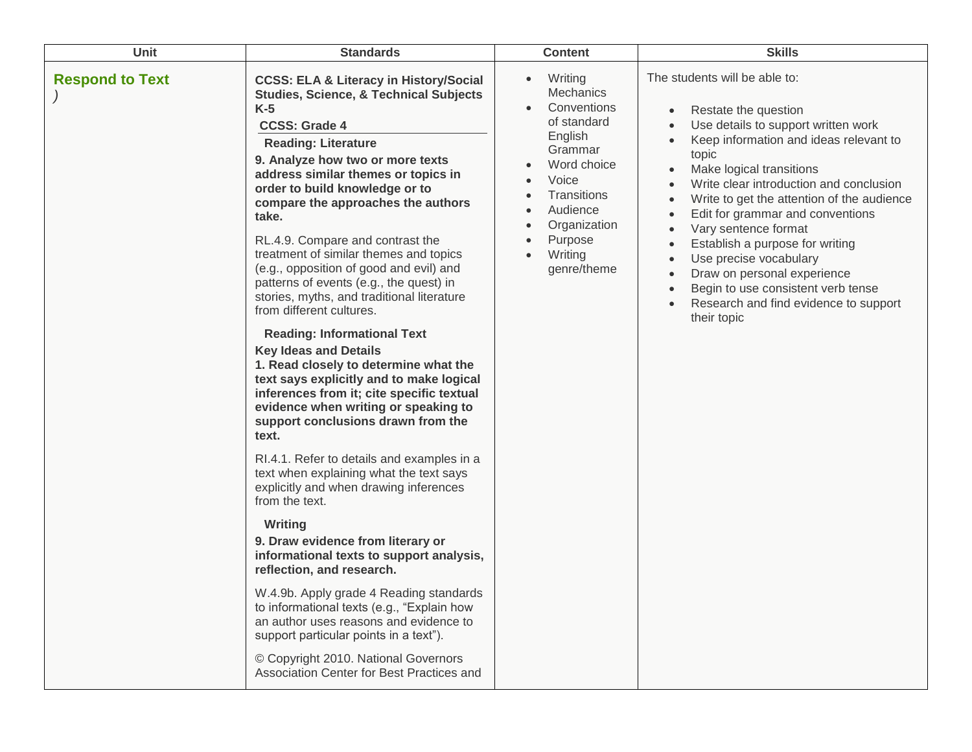| <b>Unit</b>            | <b>Standards</b>                                                                                                                                                                                                                                                                                                                                                                                                                                                                                                                                                                                                                                                                                                                                                                                                                                                                                                                                                                                                                                                                                                                                                                                                                                                                                                                                                                                                                      | <b>Content</b>                                                                                                                                                                                                    | <b>Skills</b>                                                                                                                                                                                                                                                                                                                                                                                                                                                                                                                                                     |
|------------------------|---------------------------------------------------------------------------------------------------------------------------------------------------------------------------------------------------------------------------------------------------------------------------------------------------------------------------------------------------------------------------------------------------------------------------------------------------------------------------------------------------------------------------------------------------------------------------------------------------------------------------------------------------------------------------------------------------------------------------------------------------------------------------------------------------------------------------------------------------------------------------------------------------------------------------------------------------------------------------------------------------------------------------------------------------------------------------------------------------------------------------------------------------------------------------------------------------------------------------------------------------------------------------------------------------------------------------------------------------------------------------------------------------------------------------------------|-------------------------------------------------------------------------------------------------------------------------------------------------------------------------------------------------------------------|-------------------------------------------------------------------------------------------------------------------------------------------------------------------------------------------------------------------------------------------------------------------------------------------------------------------------------------------------------------------------------------------------------------------------------------------------------------------------------------------------------------------------------------------------------------------|
| <b>Respond to Text</b> | <b>CCSS: ELA &amp; Literacy in History/Social</b><br><b>Studies, Science, &amp; Technical Subjects</b><br>$K-5$<br><b>CCSS: Grade 4</b><br><b>Reading: Literature</b><br>9. Analyze how two or more texts<br>address similar themes or topics in<br>order to build knowledge or to<br>compare the approaches the authors<br>take.<br>RL.4.9. Compare and contrast the<br>treatment of similar themes and topics<br>(e.g., opposition of good and evil) and<br>patterns of events (e.g., the quest) in<br>stories, myths, and traditional literature<br>from different cultures.<br><b>Reading: Informational Text</b><br><b>Key Ideas and Details</b><br>1. Read closely to determine what the<br>text says explicitly and to make logical<br>inferences from it; cite specific textual<br>evidence when writing or speaking to<br>support conclusions drawn from the<br>text.<br>RI.4.1. Refer to details and examples in a<br>text when explaining what the text says<br>explicitly and when drawing inferences<br>from the text.<br><b>Writing</b><br>9. Draw evidence from literary or<br>informational texts to support analysis,<br>reflection, and research.<br>W.4.9b. Apply grade 4 Reading standards<br>to informational texts (e.g., "Explain how<br>an author uses reasons and evidence to<br>support particular points in a text").<br>© Copyright 2010. National Governors<br>Association Center for Best Practices and | Writing<br>$\bullet$<br><b>Mechanics</b><br>Conventions<br>of standard<br>English<br>Grammar<br>Word choice<br>Voice<br>Transitions<br>Audience<br>Organization<br>Purpose<br>Writing<br>$\bullet$<br>genre/theme | The students will be able to:<br>Restate the question<br>$\bullet$<br>Use details to support written work<br>Keep information and ideas relevant to<br>topic<br>Make logical transitions<br>Write clear introduction and conclusion<br>Write to get the attention of the audience<br>Edit for grammar and conventions<br>Vary sentence format<br>Establish a purpose for writing<br>Use precise vocabulary<br>$\bullet$<br>Draw on personal experience<br>$\bullet$<br>Begin to use consistent verb tense<br>Research and find evidence to support<br>their topic |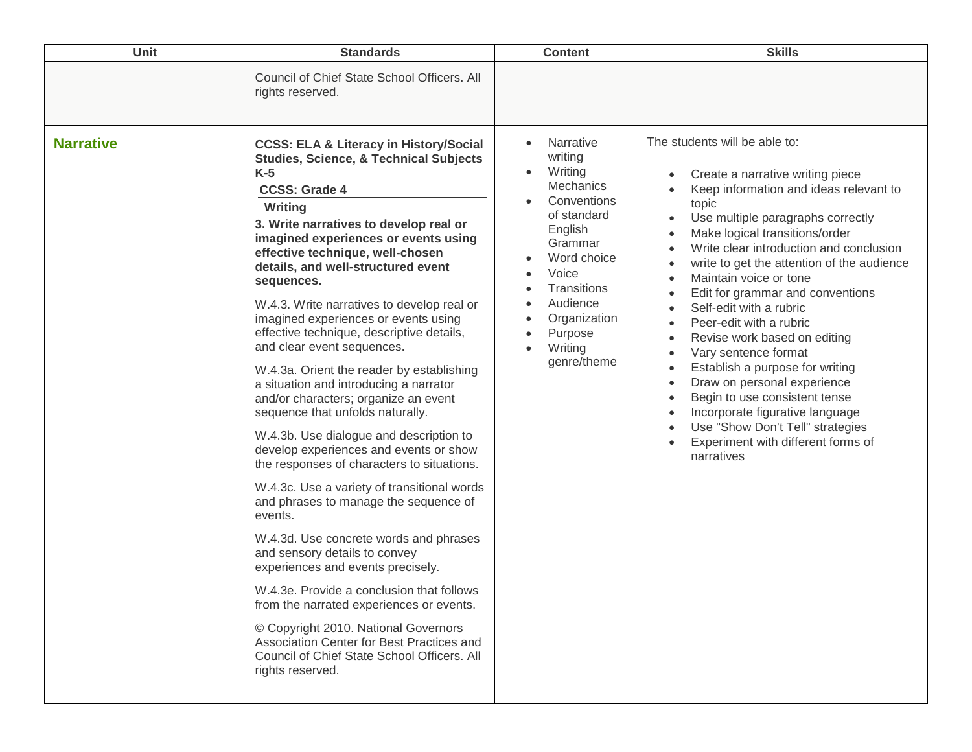| <b>Unit</b>      | <b>Standards</b>                                                                                                                                                                                                                                                                                                                                                                                                                                                                                                                                                                                                                                                                                                                                                                                                                                                                                                                                                                                                                                                                                                                                                                                                                                                        | <b>Content</b>                                                                                                                                                                                                                                                      | <b>Skills</b>                                                                                                                                                                                                                                                                                                                                                                                                                                                                                                                                                                                                                                                                                                                                                                                                                                                                                                                            |
|------------------|-------------------------------------------------------------------------------------------------------------------------------------------------------------------------------------------------------------------------------------------------------------------------------------------------------------------------------------------------------------------------------------------------------------------------------------------------------------------------------------------------------------------------------------------------------------------------------------------------------------------------------------------------------------------------------------------------------------------------------------------------------------------------------------------------------------------------------------------------------------------------------------------------------------------------------------------------------------------------------------------------------------------------------------------------------------------------------------------------------------------------------------------------------------------------------------------------------------------------------------------------------------------------|---------------------------------------------------------------------------------------------------------------------------------------------------------------------------------------------------------------------------------------------------------------------|------------------------------------------------------------------------------------------------------------------------------------------------------------------------------------------------------------------------------------------------------------------------------------------------------------------------------------------------------------------------------------------------------------------------------------------------------------------------------------------------------------------------------------------------------------------------------------------------------------------------------------------------------------------------------------------------------------------------------------------------------------------------------------------------------------------------------------------------------------------------------------------------------------------------------------------|
|                  | Council of Chief State School Officers. All<br>rights reserved.                                                                                                                                                                                                                                                                                                                                                                                                                                                                                                                                                                                                                                                                                                                                                                                                                                                                                                                                                                                                                                                                                                                                                                                                         |                                                                                                                                                                                                                                                                     |                                                                                                                                                                                                                                                                                                                                                                                                                                                                                                                                                                                                                                                                                                                                                                                                                                                                                                                                          |
| <b>Narrative</b> | <b>CCSS: ELA &amp; Literacy in History/Social</b><br><b>Studies, Science, &amp; Technical Subjects</b><br>$K-5$<br><b>CCSS: Grade 4</b><br>Writing<br>3. Write narratives to develop real or<br>imagined experiences or events using<br>effective technique, well-chosen<br>details, and well-structured event<br>sequences.<br>W.4.3. Write narratives to develop real or<br>imagined experiences or events using<br>effective technique, descriptive details,<br>and clear event sequences.<br>W.4.3a. Orient the reader by establishing<br>a situation and introducing a narrator<br>and/or characters; organize an event<br>sequence that unfolds naturally.<br>W.4.3b. Use dialogue and description to<br>develop experiences and events or show<br>the responses of characters to situations.<br>W.4.3c. Use a variety of transitional words<br>and phrases to manage the sequence of<br>events.<br>W.4.3d. Use concrete words and phrases<br>and sensory details to convey<br>experiences and events precisely.<br>W.4.3e. Provide a conclusion that follows<br>from the narrated experiences or events.<br>© Copyright 2010. National Governors<br>Association Center for Best Practices and<br>Council of Chief State School Officers. All<br>rights reserved. | Narrative<br>writing<br>Writing<br><b>Mechanics</b><br>Conventions<br>of standard<br>English<br>Grammar<br>Word choice<br>Voice<br>Transitions<br>Audience<br>$\bullet$<br>Organization<br>$\bullet$<br>Purpose<br>$\bullet$<br>Writing<br>$\bullet$<br>genre/theme | The students will be able to:<br>Create a narrative writing piece<br>$\bullet$<br>Keep information and ideas relevant to<br>$\bullet$<br>topic<br>Use multiple paragraphs correctly<br>$\bullet$<br>Make logical transitions/order<br>$\bullet$<br>Write clear introduction and conclusion<br>$\bullet$<br>write to get the attention of the audience<br>$\bullet$<br>Maintain voice or tone<br>$\bullet$<br>Edit for grammar and conventions<br>$\bullet$<br>Self-edit with a rubric<br>$\bullet$<br>Peer-edit with a rubric<br>$\bullet$<br>Revise work based on editing<br>$\bullet$<br>Vary sentence format<br>$\bullet$<br>Establish a purpose for writing<br>$\bullet$<br>Draw on personal experience<br>$\bullet$<br>Begin to use consistent tense<br>$\bullet$<br>Incorporate figurative language<br>$\bullet$<br>Use "Show Don't Tell" strategies<br>$\bullet$<br>Experiment with different forms of<br>$\bullet$<br>narratives |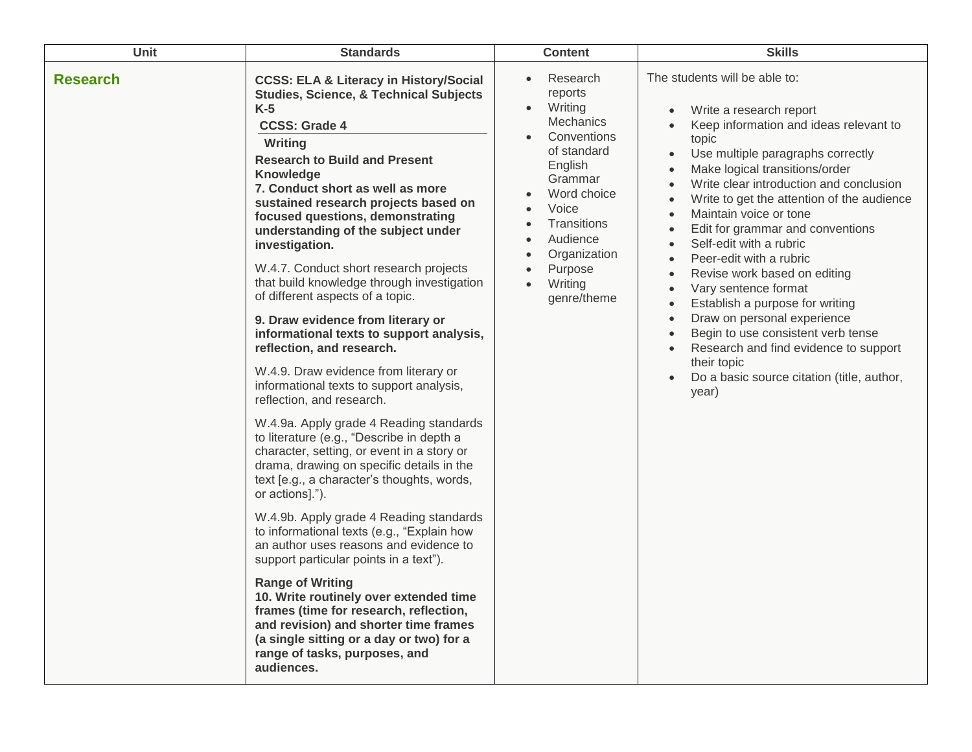| <b>Unit</b>     | <b>Standards</b>                                                                                                                                                                                                                                                                                                                                                                                                                                                                                                                                                                                                                                                                                                                                                                                                                                                                                                                                                                                                                                                                                                                                                                                                                                                                                                                                                                                                                | <b>Content</b>                                                                                                                                                                                                                                              | <b>Skills</b>                                                                                                                                                                                                                                                                                                                                                                                                                                                                                                                                                                                                                                                                                                                                                                                                                 |
|-----------------|---------------------------------------------------------------------------------------------------------------------------------------------------------------------------------------------------------------------------------------------------------------------------------------------------------------------------------------------------------------------------------------------------------------------------------------------------------------------------------------------------------------------------------------------------------------------------------------------------------------------------------------------------------------------------------------------------------------------------------------------------------------------------------------------------------------------------------------------------------------------------------------------------------------------------------------------------------------------------------------------------------------------------------------------------------------------------------------------------------------------------------------------------------------------------------------------------------------------------------------------------------------------------------------------------------------------------------------------------------------------------------------------------------------------------------|-------------------------------------------------------------------------------------------------------------------------------------------------------------------------------------------------------------------------------------------------------------|-------------------------------------------------------------------------------------------------------------------------------------------------------------------------------------------------------------------------------------------------------------------------------------------------------------------------------------------------------------------------------------------------------------------------------------------------------------------------------------------------------------------------------------------------------------------------------------------------------------------------------------------------------------------------------------------------------------------------------------------------------------------------------------------------------------------------------|
| <b>Research</b> | <b>CCSS: ELA &amp; Literacy in History/Social</b><br><b>Studies, Science, &amp; Technical Subjects</b><br>$K-5$<br><b>CCSS: Grade 4</b><br>Writing<br><b>Research to Build and Present</b><br>Knowledge<br>7. Conduct short as well as more<br>sustained research projects based on<br>focused questions, demonstrating<br>understanding of the subject under<br>investigation.<br>W.4.7. Conduct short research projects<br>that build knowledge through investigation<br>of different aspects of a topic.<br>9. Draw evidence from literary or<br>informational texts to support analysis,<br>reflection, and research.<br>W.4.9. Draw evidence from literary or<br>informational texts to support analysis,<br>reflection, and research.<br>W.4.9a. Apply grade 4 Reading standards<br>to literature (e.g., "Describe in depth a<br>character, setting, or event in a story or<br>drama, drawing on specific details in the<br>text [e.g., a character's thoughts, words,<br>or actions].").<br>W.4.9b. Apply grade 4 Reading standards<br>to informational texts (e.g., "Explain how<br>an author uses reasons and evidence to<br>support particular points in a text").<br><b>Range of Writing</b><br>10. Write routinely over extended time<br>frames (time for research, reflection,<br>and revision) and shorter time frames<br>(a single sitting or a day or two) for a<br>range of tasks, purposes, and<br>audiences. | Research<br>reports<br>Writing<br>$\bullet$<br>Mechanics<br>Conventions<br>of standard<br>English<br>Grammar<br>Word choice<br>Voice<br>Transitions<br>Audience<br>Organization<br>$\bullet$<br>Purpose<br>$\bullet$<br>Writing<br>$\bullet$<br>genre/theme | The students will be able to:<br>Write a research report<br>Keep information and ideas relevant to<br>$\bullet$<br>topic<br>Use multiple paragraphs correctly<br>$\bullet$<br>Make logical transitions/order<br>Write clear introduction and conclusion<br>$\bullet$<br>Write to get the attention of the audience<br>Maintain voice or tone<br>$\bullet$<br>Edit for grammar and conventions<br>$\bullet$<br>Self-edit with a rubric<br>$\bullet$<br>Peer-edit with a rubric<br>Revise work based on editing<br>Vary sentence format<br>$\bullet$<br>Establish a purpose for writing<br>$\bullet$<br>Draw on personal experience<br>$\bullet$<br>Begin to use consistent verb tense<br>$\bullet$<br>Research and find evidence to support<br>$\bullet$<br>their topic<br>Do a basic source citation (title, author,<br>year) |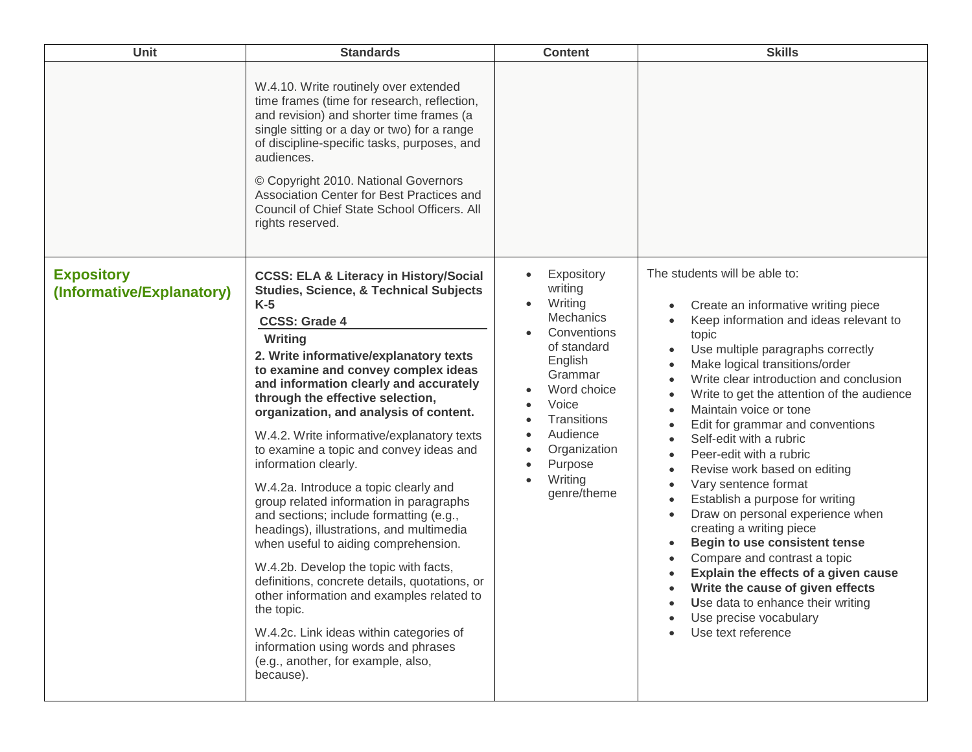| Unit                                           | <b>Standards</b>                                                                                                                                                                                                                                                                                                                                                                                                                                                                                                                                                                                                                                                                                                                                                                                                                                                                                                                                                                          | <b>Content</b>                                                                                                                                                                                                                             | <b>Skills</b>                                                                                                                                                                                                                                                                                                                                                                                                                                                                                                                                                                                                                                                                                                                                                                                                         |
|------------------------------------------------|-------------------------------------------------------------------------------------------------------------------------------------------------------------------------------------------------------------------------------------------------------------------------------------------------------------------------------------------------------------------------------------------------------------------------------------------------------------------------------------------------------------------------------------------------------------------------------------------------------------------------------------------------------------------------------------------------------------------------------------------------------------------------------------------------------------------------------------------------------------------------------------------------------------------------------------------------------------------------------------------|--------------------------------------------------------------------------------------------------------------------------------------------------------------------------------------------------------------------------------------------|-----------------------------------------------------------------------------------------------------------------------------------------------------------------------------------------------------------------------------------------------------------------------------------------------------------------------------------------------------------------------------------------------------------------------------------------------------------------------------------------------------------------------------------------------------------------------------------------------------------------------------------------------------------------------------------------------------------------------------------------------------------------------------------------------------------------------|
|                                                | W.4.10. Write routinely over extended<br>time frames (time for research, reflection,<br>and revision) and shorter time frames (a<br>single sitting or a day or two) for a range<br>of discipline-specific tasks, purposes, and<br>audiences.<br>© Copyright 2010. National Governors<br>Association Center for Best Practices and<br>Council of Chief State School Officers. All<br>rights reserved.                                                                                                                                                                                                                                                                                                                                                                                                                                                                                                                                                                                      |                                                                                                                                                                                                                                            |                                                                                                                                                                                                                                                                                                                                                                                                                                                                                                                                                                                                                                                                                                                                                                                                                       |
| <b>Expository</b><br>(Informative/Explanatory) | <b>CCSS: ELA &amp; Literacy in History/Social</b><br><b>Studies, Science, &amp; Technical Subjects</b><br>$K-5$<br><b>CCSS: Grade 4</b><br>Writing<br>2. Write informative/explanatory texts<br>to examine and convey complex ideas<br>and information clearly and accurately<br>through the effective selection,<br>organization, and analysis of content.<br>W.4.2. Write informative/explanatory texts<br>to examine a topic and convey ideas and<br>information clearly.<br>W.4.2a. Introduce a topic clearly and<br>group related information in paragraphs<br>and sections; include formatting (e.g.,<br>headings), illustrations, and multimedia<br>when useful to aiding comprehension.<br>W.4.2b. Develop the topic with facts,<br>definitions, concrete details, quotations, or<br>other information and examples related to<br>the topic.<br>W.4.2c. Link ideas within categories of<br>information using words and phrases<br>(e.g., another, for example, also,<br>because). | Expository<br>$\bullet$<br>writing<br>Writing<br>$\bullet$<br><b>Mechanics</b><br>Conventions<br>of standard<br>English<br>Grammar<br>Word choice<br>Voice<br>Transitions<br>Audience<br>Organization<br>Purpose<br>Writing<br>genre/theme | The students will be able to:<br>Create an informative writing piece<br>Keep information and ideas relevant to<br>topic<br>Use multiple paragraphs correctly<br>Make logical transitions/order<br>Write clear introduction and conclusion<br>Write to get the attention of the audience<br>Maintain voice or tone<br>Edit for grammar and conventions<br>Self-edit with a rubric<br>$\bullet$<br>Peer-edit with a rubric<br>Revise work based on editing<br>Vary sentence format<br>Establish a purpose for writing<br>Draw on personal experience when<br>creating a writing piece<br>Begin to use consistent tense<br>Compare and contrast a topic<br>Explain the effects of a given cause<br>Write the cause of given effects<br>Use data to enhance their writing<br>Use precise vocabulary<br>Use text reference |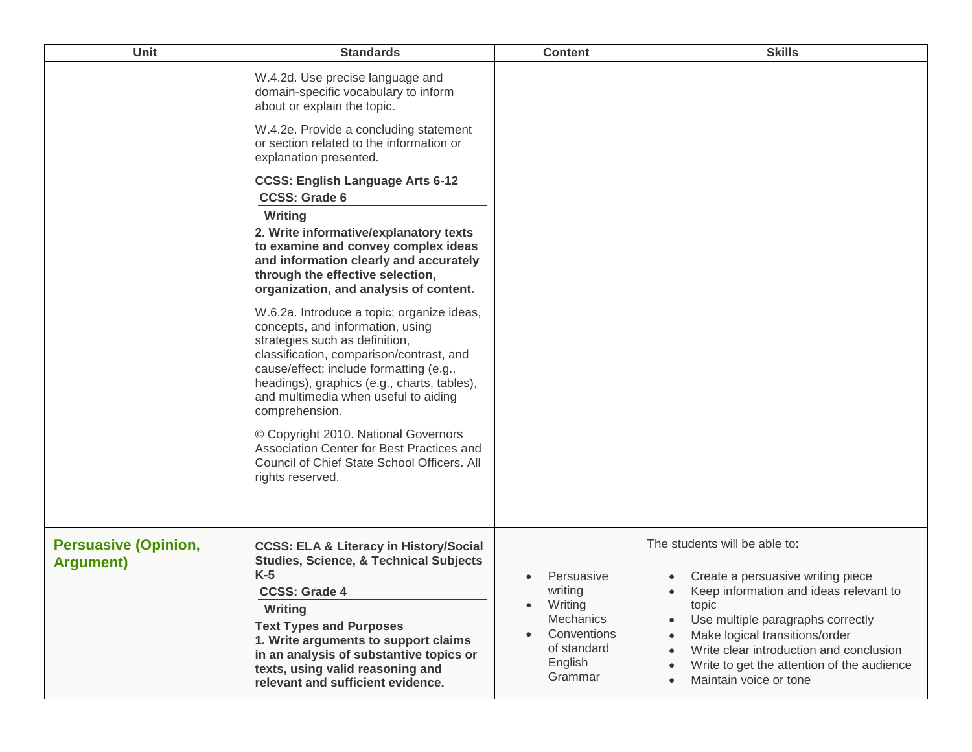| Unit                                             | <b>Standards</b>                                                                                                                                                                                                                                                                                                                                 | <b>Content</b>                                                                                                 | <b>Skills</b>                                                                                                                                                                                                                                                                                                                                          |
|--------------------------------------------------|--------------------------------------------------------------------------------------------------------------------------------------------------------------------------------------------------------------------------------------------------------------------------------------------------------------------------------------------------|----------------------------------------------------------------------------------------------------------------|--------------------------------------------------------------------------------------------------------------------------------------------------------------------------------------------------------------------------------------------------------------------------------------------------------------------------------------------------------|
|                                                  | W.4.2d. Use precise language and<br>domain-specific vocabulary to inform<br>about or explain the topic.<br>W.4.2e. Provide a concluding statement<br>or section related to the information or<br>explanation presented.                                                                                                                          |                                                                                                                |                                                                                                                                                                                                                                                                                                                                                        |
|                                                  | <b>CCSS: English Language Arts 6-12</b><br><b>CCSS: Grade 6</b><br>Writing<br>2. Write informative/explanatory texts<br>to examine and convey complex ideas<br>and information clearly and accurately<br>through the effective selection,<br>organization, and analysis of content.                                                              |                                                                                                                |                                                                                                                                                                                                                                                                                                                                                        |
|                                                  | W.6.2a. Introduce a topic; organize ideas,<br>concepts, and information, using<br>strategies such as definition,<br>classification, comparison/contrast, and<br>cause/effect; include formatting (e.g.,<br>headings), graphics (e.g., charts, tables),<br>and multimedia when useful to aiding<br>comprehension.                                 |                                                                                                                |                                                                                                                                                                                                                                                                                                                                                        |
|                                                  | © Copyright 2010. National Governors<br>Association Center for Best Practices and<br>Council of Chief State School Officers. All<br>rights reserved.                                                                                                                                                                                             |                                                                                                                |                                                                                                                                                                                                                                                                                                                                                        |
| <b>Persuasive (Opinion,</b><br><b>Argument</b> ) | <b>CCSS: ELA &amp; Literacy in History/Social</b><br><b>Studies, Science, &amp; Technical Subjects</b><br>$K-5$<br><b>CCSS: Grade 4</b><br>Writing<br><b>Text Types and Purposes</b><br>1. Write arguments to support claims<br>in an analysis of substantive topics or<br>texts, using valid reasoning and<br>relevant and sufficient evidence. | Persuasive<br>writing<br>Writing<br>$\bullet$<br>Mechanics<br>Conventions<br>of standard<br>English<br>Grammar | The students will be able to:<br>Create a persuasive writing piece<br>$\bullet$<br>Keep information and ideas relevant to<br>topic<br>Use multiple paragraphs correctly<br>Make logical transitions/order<br>Write clear introduction and conclusion<br>Write to get the attention of the audience<br>$\bullet$<br>Maintain voice or tone<br>$\bullet$ |